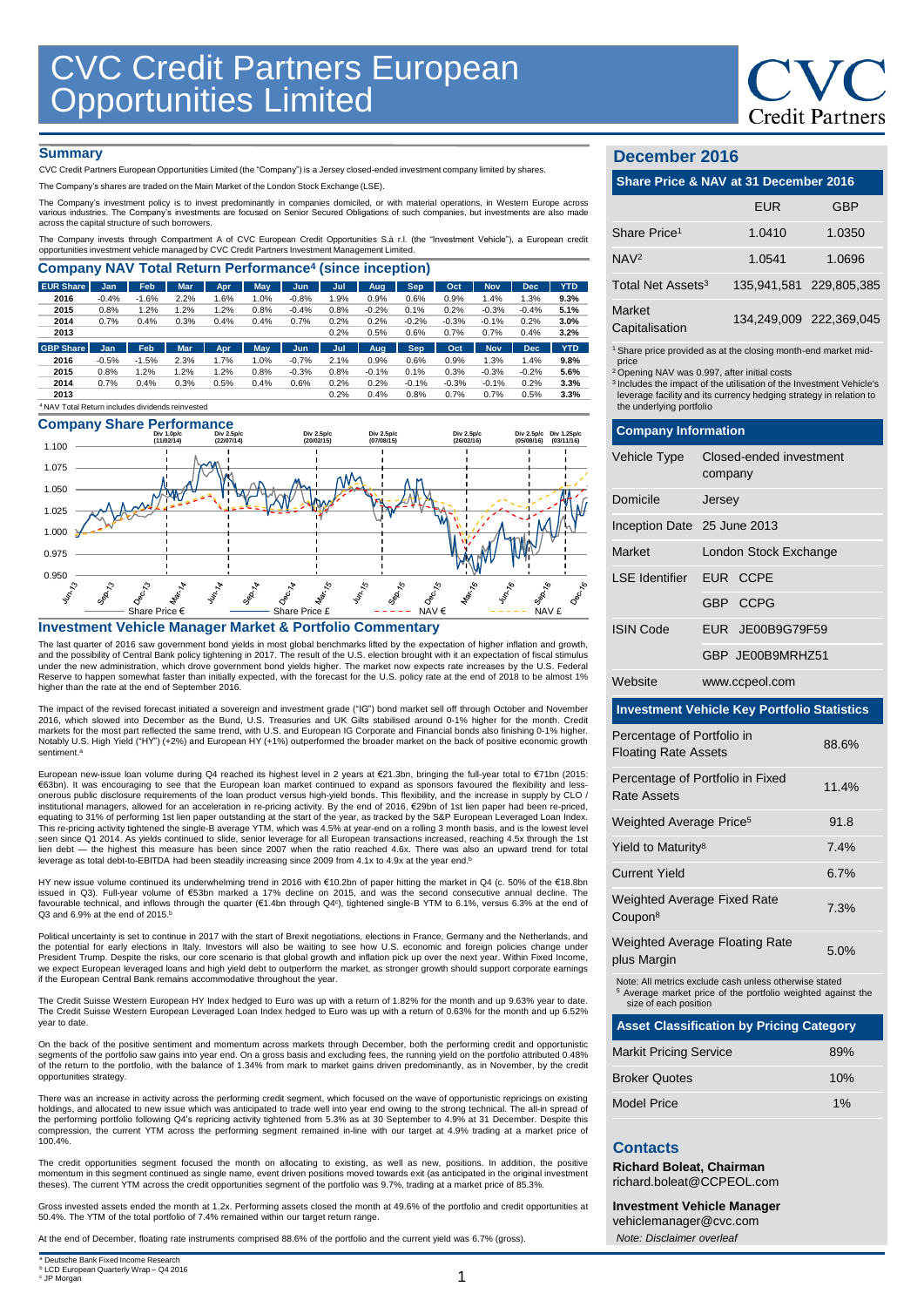

#### **Summary**

CVC Credit Partners European Opportunities Limited (the "Company") is a Jersey closed-ended investment company limited by shares.

The Company's shares are traded on the Main Market of the London Stock Exchange (LSE).

The Company's investment policy is to invest predominantly in companies domiciled, or with material operations, in Western Europe across various industries. The Company's investments are focused on Senior Secured Obligations of such companies, but investments are also made across the capital structure of such borrowers.

The Company invests through Compartment A of CVC European Credit Opportunities S.à r.l. (the "Investment Vehicle"), a European credit<br>opportunities investment vehicle managed by CVC Credit Partners Investment Management Li

| <b>Company NAV Total Return Performance<sup>4</sup> (since inception)</b> |         |            |            |      |            |         |      |            |            |         |            |            |            |
|---------------------------------------------------------------------------|---------|------------|------------|------|------------|---------|------|------------|------------|---------|------------|------------|------------|
| <b>EUR Share</b>                                                          | Jan     | <b>Feb</b> | <b>Mar</b> | Apr  | <b>May</b> | Jun.    | Jul  | Aug.       | <b>Sep</b> | Oct     | <b>Nov</b> | <b>Dec</b> | <b>YTD</b> |
| 2016                                                                      | $-0.4%$ | $-1.6%$    | 2.2%       | 1.6% | 1.0%       | $-0.8%$ | 1.9% | 0.9%       | 0.6%       | 0.9%    | 1.4%       | 1.3%       | 9.3%       |
| 2015                                                                      | 0.8%    | 1.2%       | 1.2%       | 1.2% | 0.8%       | $-0.4%$ | 0.8% | $-0.2%$    | 0.1%       | 0.2%    | $-0.3%$    | $-0.4%$    | 5.1%       |
| 2014                                                                      | 0.7%    | 0.4%       | 0.3%       | 0.4% | 0.4%       | 0.7%    | 0.2% | 0.2%       | $-0.2%$    | $-0.3%$ | $-0.1%$    | 0.2%       | 3.0%       |
| 2013                                                                      |         |            |            |      |            |         | 0.2% | 0.5%       | 0.6%       | 0.7%    | 0.7%       | 0.4%       | 3.2%       |
| <b>GBP Share</b>                                                          | Jan     | Feb        | <b>Mar</b> | Apr  | <b>May</b> | Jun     | Jul  | <b>Aug</b> | <b>Sep</b> | Oct     | <b>Nov</b> | <b>Dec</b> | <b>YTD</b> |
| 2016                                                                      | $-0.5%$ | $-1.5%$    | 2.3%       | 1.7% | 1.0%       | $-0.7%$ | 2.1% | 0.9%       | 0.6%       | 0.9%    | 1.3%       | 1.4%       | 9.8%       |
| 2015                                                                      | 0.8%    | 1.2%       | 1.2%       | 1.2% | 0.8%       | $-0.3%$ | 0.8% | $-0.1%$    | 0.1%       | 0.3%    | $-0.3%$    | $-0.2%$    | 5.6%       |
| 2014                                                                      | 0.7%    | 0.4%       | 0.3%       | 0.5% | 0.4%       | 0.6%    | 0.2% | 0.2%       | $-0.1%$    | $-0.3%$ | $-0.1%$    | 0.2%       | 3.3%       |
| 2013                                                                      |         |            |            |      |            |         | 0.2% | 0.4%       | 0.8%       | 0.7%    | 0.7%       | 0.5%       | 3.3%       |
| <sup>4</sup> NAV Total Return includes dividends reinvested               |         |            |            |      |            |         |      |            |            |         |            |            |            |

# **Company Share Performance**



#### **Investment Vehicle Manager Market & Portfolio Commentary**

The last quarter of 2016 saw government bond yields in most global benchmarks lifted by the expectation of higher inflation and growth, and the possibility of Central Bank policy tightening in 2017. The result of the U.S. election brought with it an expectation of fiscal stimulus<br>under the new administration, which drove government bond yields higher. The higher than the rate at the end of September 2016.

The impact of the revised forecast initiated a sovereign and investment grade ("IG") bond market sell off through October and November<br>2016, which slowed into December as the Bund, U.S. Treasuries and UK Gilts stabilised a markets for the most part reflected the same trend, with U.S. and European IG Corporate and Financial bonds also finishing 0-1% higher.<br>Notably U.S. High Yield ("HY") (+2%) and European HY (+1%) outperformed the broader ma sentiment. a

European new-issue loan volume during Q4 reached its highest level in 2 years at €21.3bn, bringing the full-year total to €71bn (2015:<br>€63bn). It was encouraging to see that the European loan market continued to expand as onerous public disclosure requirements of the loan product versus high-yield bonds. This flexibility, and the increase in supply by CLO /<br>institutional managers, allowed for an acceleration in re-pricing activity. By the equating to 31% of performing 1st lien paper outstanding at the start of the year, as tracked by the S&P European Leveraged Loan Index.<br>This re-pricing activity tightened the single-B average YTM, which was 4.5% at year-en seen since Q1 2014. As yields continued to slide, senior leverage for all European transactions increased, reaching 4.5x through the 1st<br>lien debt — the highest this measure has been since 2007 when the ratio reached 4.6x. leverage as total debt-to-EBITDA had been steadily increasing since 2009 from 4.1x to 4.9x at the year end.<sup>E</sup>

HY new issue volume continued its underwhelming trend in 2016 with €10.2bn of paper hitting the market in Q4 (c. 50% of the €18.8bn<br>issued in Q3). Full-year volume of €53bn marked a 17% decline on 2015, and was the second Q3 and  $6.9\%$  at the end of 2015. $b$ 

Political uncertainty is set to continue in 2017 with the start of Brexit negotiations, elections in France, Germany and the Netherlands, and the potential for early elections in Italy. Investors will also be waiting to see how U.S. economic and foreign policies change under President Trump. Despite the risks, our core scenario is that global growth and inflation pick up over the next year. Within Fixed Income, we expect European leveraged loans and high yield debt to outperform the market, as stronger growth should support corporate earnings if the European Central Bank remains accommodative throughout the year.

The Credit Suisse Western European HY Index hedged to Euro was up with a return of 1.82% for the month and up 9.63% year to date.<br>The Credit Suisse Western European Leveraged Loan Index hedged to Euro was up with a return year to date.

On the back of the positive sentiment and momentum across markets through December, both the performing credit and opportunistic segments of the portfolio saw gains into year end. On a gross basis and excluding fees, the running yield on the portfolio attributed 0.48% of the return to the portfolio, with the balance of 1.34% from mark to market gains driven predominantly, as in November, by the credit opportunities strategy.

There was an increase in activity across the performing credit segment, which focused on the wave of opportunistic repricings on existing holdings, and allocated to new issue which was anticipated to trade well into year end owing to the strong technical. The all-in spread of<br>the performing portfolio following Q4's repricing activity tightened from 5.3% as a compression, the current YTM across the performing segment remained in-line with our target at 4.9% trading at a market price of 100.4%.

The credit opportunities segment focused the month on allocating to existing, as well as new, positions. In addition, the positive momentum in this segment continued as single name, event driven positions moved towards exit (as anticipated in the original investment theses). The current YTM across the credit opportunities segment of the portfolio was 9.7%, trading at a market price of 85.3%.

Gross invested assets ended the month at 1.2x. Performing assets closed the month at 49.6% of the portfolio and credit opportunities at 50.4%. The YTM of the total portfolio of 7.4% remained within our target return range.

At the end of December, floating rate instruments comprised 88.6% of the portfolio and the current yield was 6.7% (gross).

1

## **December 2016**

|                               | Share Price & NAV at 31 December 2016 |                         |  |  |  |  |
|-------------------------------|---------------------------------------|-------------------------|--|--|--|--|
|                               | <b>EUR</b>                            | <b>GBP</b>              |  |  |  |  |
| Share Price <sup>1</sup>      | 1.0410                                | 1.0350                  |  |  |  |  |
| NAV <sup>2</sup>              | 1.0541                                | 1.0696                  |  |  |  |  |
| Total Net Assets <sup>3</sup> |                                       | 135,941,581 229,805,385 |  |  |  |  |

1 Share price provided as at the closing month-end market mid-

price <sup>2</sup>Opening NAV was 0.997, after initial costs

<sup>3</sup>Includes the impact of the utilisation of the Investment Vehicle's leverage facility and its currency hedging strategy in relation to the underlying portfolio

| <b>Company Information</b>                                         |                                    |      |  |  |  |
|--------------------------------------------------------------------|------------------------------------|------|--|--|--|
| Vehicle Type                                                       | Closed-ended investment<br>company |      |  |  |  |
| Domicile                                                           | Jersey                             |      |  |  |  |
| Inception Date 25 June 2013                                        |                                    |      |  |  |  |
| <b>Market</b>                                                      | London Stock Exchange              |      |  |  |  |
| I SF Identifier                                                    | EUR CCPE                           |      |  |  |  |
|                                                                    | GBP CCPG                           |      |  |  |  |
| <b>ISIN Code</b>                                                   | EUR JE00B9G79F59                   |      |  |  |  |
|                                                                    | GBP JE00B9MRHZ51                   |      |  |  |  |
| Website<br>www.ccpeol.com                                          |                                    |      |  |  |  |
| <b>Investment Vehicle Key Portfolio Statistics</b>                 |                                    |      |  |  |  |
| Percentage of Portfolio in<br>88.6%<br><b>Floating Rate Assets</b> |                                    |      |  |  |  |
| Percentage of Portfolio in Fixed<br>11.4%<br>Rate Assets           |                                    |      |  |  |  |
| Weighted Average Price <sup>5</sup>                                |                                    | 91.8 |  |  |  |
| Yield to Maturity <sup>8</sup>                                     |                                    | 7.4% |  |  |  |
| <b>Current Yield</b>                                               | 6.7%                               |      |  |  |  |
| Weighted Average Fixed Rate<br>7.3%<br>Coupon <sup>8</sup>         |                                    |      |  |  |  |

| Weighted Average Floating Rate | 5.0% |
|--------------------------------|------|
| plus Margin                    |      |

Note: All metrics exclude cash unless otherwise stated <sup>5</sup> Average market price of the portfolio weighted against the size of each position

| <b>Asset Classification by Pricing Category</b> |     |
|-------------------------------------------------|-----|
| <b>Markit Pricing Service</b>                   | 89% |
| <b>Broker Quotes</b>                            | 10% |
| Model Price                                     | 1%  |

#### **Contacts**

**Richard Boleat, Chairman**  richard.boleat@CCPEOL.com

**Investment Vehicle Manager** vehiclemanager@cvc.com *Note: Disclaimer overleaf*